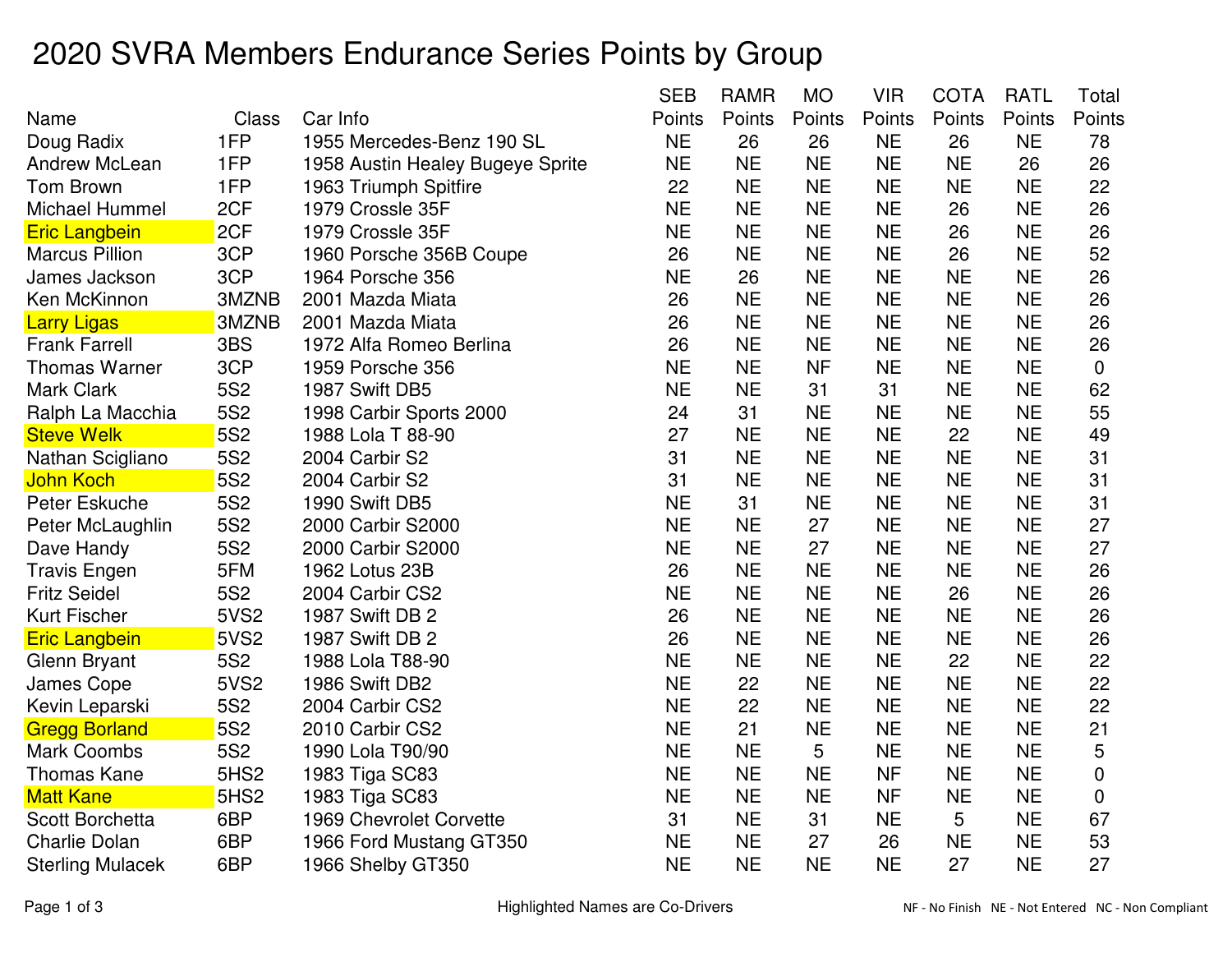## 2020 SVRA Members Endurance Series Points by Group

|                         |                  |                                  | <b>SEB</b> | <b>RAMR</b> | <b>MO</b> | <b>VIR</b> | <b>COTA</b> | <b>RATL</b> | Total       |
|-------------------------|------------------|----------------------------------|------------|-------------|-----------|------------|-------------|-------------|-------------|
| Name                    | <b>Class</b>     | Car Info                         | Points     | Points      | Points    | Points     | Points      | Points      | Points      |
| Doug Radix              | 1FP              | 1955 Mercedes-Benz 190 SL        | <b>NE</b>  | 26          | 26        | <b>NE</b>  | 26          | <b>NE</b>   | 78          |
| <b>Andrew McLean</b>    | 1FP              | 1958 Austin Healey Bugeye Sprite | <b>NE</b>  | <b>NE</b>   | <b>NE</b> | <b>NE</b>  | <b>NE</b>   | 26          | 26          |
| Tom Brown               | 1FP              | 1963 Triumph Spitfire            | 22         | <b>NE</b>   | <b>NE</b> | <b>NE</b>  | <b>NE</b>   | <b>NE</b>   | 22          |
| Michael Hummel          | 2CF              | 1979 Crossle 35F                 | <b>NE</b>  | <b>NE</b>   | <b>NE</b> | <b>NE</b>  | 26          | <b>NE</b>   | 26          |
| <b>Eric Langbein</b>    | 2CF              | 1979 Crossle 35F                 | <b>NE</b>  | <b>NE</b>   | <b>NE</b> | <b>NE</b>  | 26          | <b>NE</b>   | 26          |
| <b>Marcus Pillion</b>   | 3CP              | 1960 Porsche 356B Coupe          | 26         | <b>NE</b>   | <b>NE</b> | <b>NE</b>  | 26          | <b>NE</b>   | 52          |
| James Jackson           | 3CP              | 1964 Porsche 356                 | <b>NE</b>  | 26          | <b>NE</b> | <b>NE</b>  | <b>NE</b>   | <b>NE</b>   | 26          |
| Ken McKinnon            | 3MZNB            | 2001 Mazda Miata                 | 26         | <b>NE</b>   | <b>NE</b> | <b>NE</b>  | <b>NE</b>   | <b>NE</b>   | 26          |
| <b>Larry Ligas</b>      | 3MZNB            | 2001 Mazda Miata                 | 26         | <b>NE</b>   | <b>NE</b> | <b>NE</b>  | <b>NE</b>   | <b>NE</b>   | 26          |
| <b>Frank Farrell</b>    | 3BS              | 1972 Alfa Romeo Berlina          | 26         | <b>NE</b>   | <b>NE</b> | <b>NE</b>  | <b>NE</b>   | <b>NE</b>   | 26          |
| Thomas Warner           | 3CP              | 1959 Porsche 356                 | <b>NE</b>  | <b>NE</b>   | <b>NF</b> | <b>NE</b>  | <b>NE</b>   | <b>NE</b>   | $\mathbf 0$ |
| <b>Mark Clark</b>       | <b>5S2</b>       | 1987 Swift DB5                   | <b>NE</b>  | <b>NE</b>   | 31        | 31         | <b>NE</b>   | <b>NE</b>   | 62          |
| Ralph La Macchia        | <b>5S2</b>       | 1998 Carbir Sports 2000          | 24         | 31          | <b>NE</b> | <b>NE</b>  | <b>NE</b>   | <b>NE</b>   | 55          |
| <b>Steve Welk</b>       | <b>5S2</b>       | 1988 Lola T 88-90                | 27         | <b>NE</b>   | <b>NE</b> | <b>NE</b>  | 22          | <b>NE</b>   | 49          |
| Nathan Scigliano        | <b>5S2</b>       | 2004 Carbir S2                   | 31         | <b>NE</b>   | <b>NE</b> | <b>NE</b>  | <b>NE</b>   | <b>NE</b>   | 31          |
| John Koch               | <b>5S2</b>       | 2004 Carbir S2                   | 31         | <b>NE</b>   | <b>NE</b> | <b>NE</b>  | <b>NE</b>   | <b>NE</b>   | 31          |
| Peter Eskuche           | <b>5S2</b>       | 1990 Swift DB5                   | <b>NE</b>  | 31          | <b>NE</b> | <b>NE</b>  | <b>NE</b>   | <b>NE</b>   | 31          |
| Peter McLaughlin        | 5S <sub>2</sub>  | 2000 Carbir S2000                | <b>NE</b>  | <b>NE</b>   | 27        | <b>NE</b>  | <b>NE</b>   | <b>NE</b>   | 27          |
| Dave Handy              | <b>5S2</b>       | 2000 Carbir S2000                | <b>NE</b>  | <b>NE</b>   | 27        | <b>NE</b>  | <b>NE</b>   | <b>NE</b>   | 27          |
| <b>Travis Engen</b>     | 5FM              | 1962 Lotus 23B                   | 26         | <b>NE</b>   | <b>NE</b> | <b>NE</b>  | <b>NE</b>   | <b>NE</b>   | 26          |
| <b>Fritz Seidel</b>     | <b>5S2</b>       | 2004 Carbir CS2                  | <b>NE</b>  | <b>NE</b>   | <b>NE</b> | <b>NE</b>  | 26          | <b>NE</b>   | 26          |
| <b>Kurt Fischer</b>     | <b>5VS2</b>      | 1987 Swift DB 2                  | 26         | <b>NE</b>   | <b>NE</b> | <b>NE</b>  | <b>NE</b>   | <b>NE</b>   | 26          |
| <b>Eric Langbein</b>    | <b>5VS2</b>      | 1987 Swift DB 2                  | 26         | <b>NE</b>   | <b>NE</b> | <b>NE</b>  | <b>NE</b>   | <b>NE</b>   | 26          |
| Glenn Bryant            | <b>5S2</b>       | 1988 Lola T88-90                 | <b>NE</b>  | <b>NE</b>   | <b>NE</b> | <b>NE</b>  | 22          | <b>NE</b>   | 22          |
| James Cope              | 5VS2             | 1986 Swift DB2                   | <b>NE</b>  | 22          | <b>NE</b> | <b>NE</b>  | <b>NE</b>   | <b>NE</b>   | 22          |
| Kevin Leparski          | <b>5S2</b>       | 2004 Carbir CS2                  | <b>NE</b>  | 22          | <b>NE</b> | <b>NE</b>  | <b>NE</b>   | <b>NE</b>   | 22          |
| <b>Gregg Borland</b>    | <b>5S2</b>       | 2010 Carbir CS2                  | <b>NE</b>  | 21          | <b>NE</b> | <b>NE</b>  | <b>NE</b>   | <b>NE</b>   | 21          |
| <b>Mark Coombs</b>      | <b>5S2</b>       | 1990 Lola T90/90                 | <b>NE</b>  | <b>NE</b>   | 5         | <b>NE</b>  | <b>NE</b>   | <b>NE</b>   | 5           |
| Thomas Kane             | 5HS <sub>2</sub> | 1983 Tiga SC83                   | <b>NE</b>  | <b>NE</b>   | <b>NE</b> | <b>NF</b>  | <b>NE</b>   | <b>NE</b>   | 0           |
| <b>Matt Kane</b>        | 5HS <sub>2</sub> | 1983 Tiga SC83                   | <b>NE</b>  | <b>NE</b>   | <b>NE</b> | <b>NF</b>  | <b>NE</b>   | <b>NE</b>   | $\mathbf 0$ |
| <b>Scott Borchetta</b>  | 6BP              | 1969 Chevrolet Corvette          | 31         | <b>NE</b>   | 31        | <b>NE</b>  | 5           | <b>NE</b>   | 67          |
| <b>Charlie Dolan</b>    | 6BP              | 1966 Ford Mustang GT350          | <b>NE</b>  | <b>NE</b>   | 27        | 26         | <b>NE</b>   | <b>NE</b>   | 53          |
| <b>Sterling Mulacek</b> | 6BP              | 1966 Shelby GT350                | <b>NE</b>  | <b>NE</b>   | <b>NE</b> | <b>NE</b>  | 27          | <b>NE</b>   | 27          |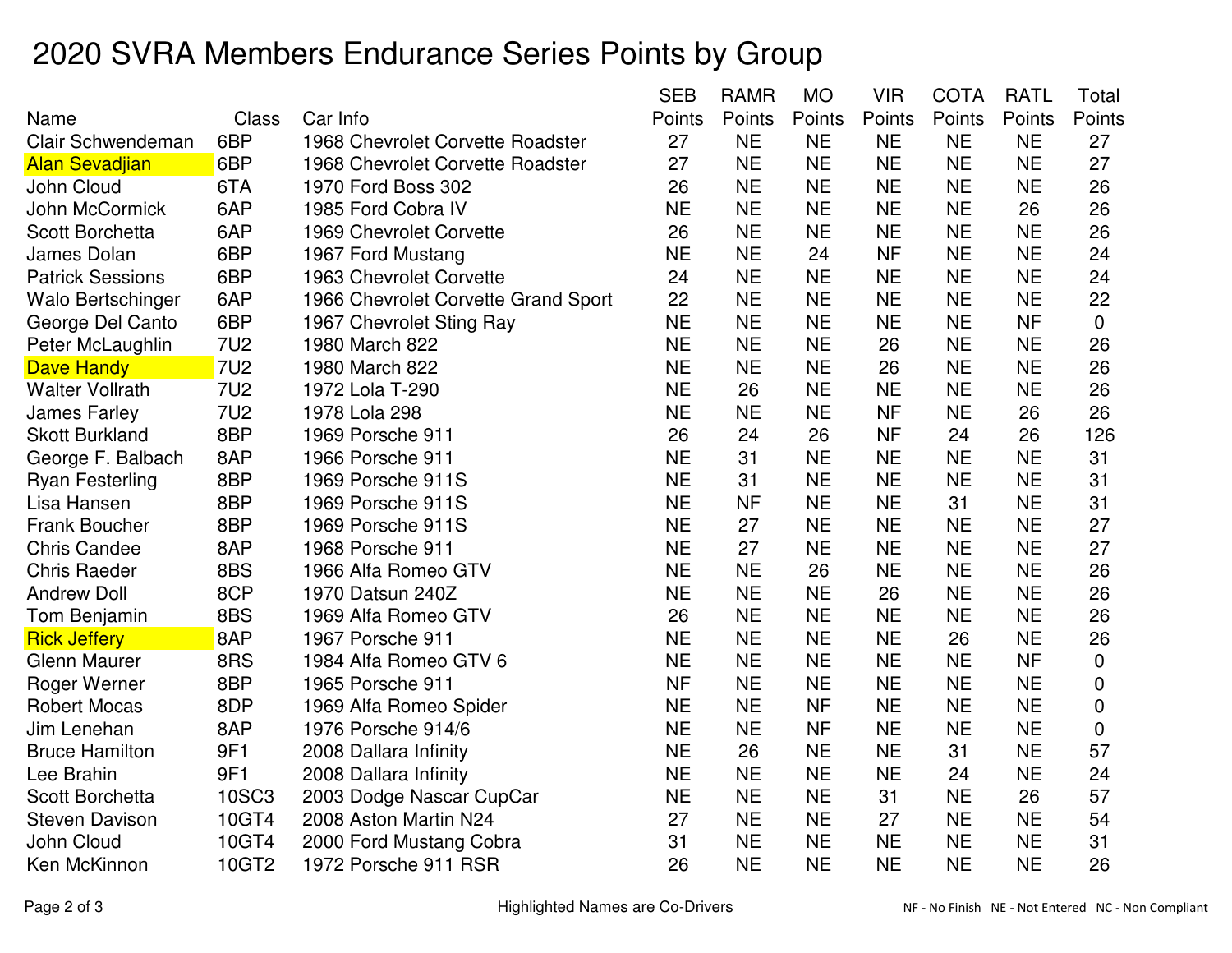## 2020 SVRA Members Endurance Series Points by Group

|                          |              |                                     | <b>SEB</b> | <b>RAMR</b> | <b>MO</b> | <b>VIR</b> | COTA      | <b>RATL</b> | Total  |
|--------------------------|--------------|-------------------------------------|------------|-------------|-----------|------------|-----------|-------------|--------|
| Name                     | <b>Class</b> | Car Info                            | Points     | Points      | Points    | Points     | Points    | Points      | Points |
| <b>Clair Schwendeman</b> | 6BP          | 1968 Chevrolet Corvette Roadster    | 27         | <b>NE</b>   | <b>NE</b> | <b>NE</b>  | <b>NE</b> | <b>NE</b>   | 27     |
| <b>Alan Sevadjian</b>    | 6BP          | 1968 Chevrolet Corvette Roadster    | 27         | <b>NE</b>   | <b>NE</b> | <b>NE</b>  | <b>NE</b> | <b>NE</b>   | 27     |
| John Cloud               | 6TA          | 1970 Ford Boss 302                  | 26         | <b>NE</b>   | <b>NE</b> | <b>NE</b>  | <b>NE</b> | <b>NE</b>   | 26     |
| John McCormick           | 6AP          | 1985 Ford Cobra IV                  | <b>NE</b>  | <b>NE</b>   | <b>NE</b> | <b>NE</b>  | <b>NE</b> | 26          | 26     |
| <b>Scott Borchetta</b>   | 6AP          | 1969 Chevrolet Corvette             | 26         | <b>NE</b>   | <b>NE</b> | <b>NE</b>  | <b>NE</b> | <b>NE</b>   | 26     |
| <b>James Dolan</b>       | 6BP          | 1967 Ford Mustang                   | <b>NE</b>  | <b>NE</b>   | 24        | <b>NF</b>  | <b>NE</b> | <b>NE</b>   | 24     |
| <b>Patrick Sessions</b>  | 6BP          | 1963 Chevrolet Corvette             | 24         | <b>NE</b>   | <b>NE</b> | <b>NE</b>  | <b>NE</b> | <b>NE</b>   | 24     |
| Walo Bertschinger        | 6AP          | 1966 Chevrolet Corvette Grand Sport | 22         | <b>NE</b>   | <b>NE</b> | <b>NE</b>  | <b>NE</b> | <b>NE</b>   | 22     |
| George Del Canto         | 6BP          | 1967 Chevrolet Sting Ray            | <b>NE</b>  | <b>NE</b>   | <b>NE</b> | <b>NE</b>  | <b>NE</b> | <b>NF</b>   | 0      |
| Peter McLaughlin         | <b>7U2</b>   | 1980 March 822                      | <b>NE</b>  | <b>NE</b>   | <b>NE</b> | 26         | <b>NE</b> | <b>NE</b>   | 26     |
| Dave Handy               | <b>7U2</b>   | 1980 March 822                      | <b>NE</b>  | <b>NE</b>   | <b>NE</b> | 26         | <b>NE</b> | <b>NE</b>   | 26     |
| <b>Walter Vollrath</b>   | <b>7U2</b>   | 1972 Lola T-290                     | <b>NE</b>  | 26          | <b>NE</b> | <b>NE</b>  | <b>NE</b> | <b>NE</b>   | 26     |
| <b>James Farley</b>      | <b>7U2</b>   | 1978 Lola 298                       | <b>NE</b>  | <b>NE</b>   | <b>NE</b> | <b>NF</b>  | <b>NE</b> | 26          | 26     |
| <b>Skott Burkland</b>    | 8BP          | 1969 Porsche 911                    | 26         | 24          | 26        | <b>NF</b>  | 24        | 26          | 126    |
| George F. Balbach        | 8AP          | 1966 Porsche 911                    | <b>NE</b>  | 31          | <b>NE</b> | <b>NE</b>  | <b>NE</b> | <b>NE</b>   | 31     |
| <b>Ryan Festerling</b>   | 8BP          | 1969 Porsche 911S                   | <b>NE</b>  | 31          | <b>NE</b> | <b>NE</b>  | <b>NE</b> | <b>NE</b>   | 31     |
| Lisa Hansen              | 8BP          | 1969 Porsche 911S                   | <b>NE</b>  | <b>NF</b>   | <b>NE</b> | <b>NE</b>  | 31        | <b>NE</b>   | 31     |
| <b>Frank Boucher</b>     | 8BP          | 1969 Porsche 911S                   | <b>NE</b>  | 27          | <b>NE</b> | <b>NE</b>  | <b>NE</b> | <b>NE</b>   | 27     |
| <b>Chris Candee</b>      | 8AP          | 1968 Porsche 911                    | <b>NE</b>  | 27          | <b>NE</b> | <b>NE</b>  | <b>NE</b> | <b>NE</b>   | 27     |
| <b>Chris Raeder</b>      | 8BS          | 1966 Alfa Romeo GTV                 | <b>NE</b>  | <b>NE</b>   | 26        | <b>NE</b>  | <b>NE</b> | <b>NE</b>   | 26     |
| <b>Andrew Doll</b>       | 8CP          | 1970 Datsun 240Z                    | <b>NE</b>  | <b>NE</b>   | <b>NE</b> | 26         | <b>NE</b> | <b>NE</b>   | 26     |
| Tom Benjamin             | 8BS          | 1969 Alfa Romeo GTV                 | 26         | <b>NE</b>   | <b>NE</b> | <b>NE</b>  | <b>NE</b> | <b>NE</b>   | 26     |
| <b>Rick Jeffery</b>      | 8AP          | 1967 Porsche 911                    | <b>NE</b>  | <b>NE</b>   | <b>NE</b> | <b>NE</b>  | 26        | <b>NE</b>   | 26     |
| Glenn Maurer             | 8RS          | 1984 Alfa Romeo GTV 6               | <b>NE</b>  | <b>NE</b>   | <b>NE</b> | <b>NE</b>  | <b>NE</b> | <b>NF</b>   | 0      |
| Roger Werner             | 8BP          | 1965 Porsche 911                    | <b>NF</b>  | <b>NE</b>   | <b>NE</b> | <b>NE</b>  | <b>NE</b> | <b>NE</b>   | 0      |
| <b>Robert Mocas</b>      | 8DP          | 1969 Alfa Romeo Spider              | <b>NE</b>  | <b>NE</b>   | <b>NF</b> | <b>NE</b>  | <b>NE</b> | <b>NE</b>   | 0      |
| Jim Lenehan              | 8AP          | 1976 Porsche 914/6                  | <b>NE</b>  | <b>NE</b>   | <b>NF</b> | <b>NE</b>  | <b>NE</b> | <b>NE</b>   | 0      |
| <b>Bruce Hamilton</b>    | 9F1          | 2008 Dallara Infinity               | <b>NE</b>  | 26          | <b>NE</b> | <b>NE</b>  | 31        | <b>NE</b>   | 57     |
| Lee Brahin               | 9F1          | 2008 Dallara Infinity               | <b>NE</b>  | <b>NE</b>   | <b>NE</b> | <b>NE</b>  | 24        | <b>NE</b>   | 24     |
| <b>Scott Borchetta</b>   | <b>10SC3</b> | 2003 Dodge Nascar CupCar            | <b>NE</b>  | <b>NE</b>   | <b>NE</b> | 31         | <b>NE</b> | 26          | 57     |
| <b>Steven Davison</b>    | 10GT4        | 2008 Aston Martin N24               | 27         | <b>NE</b>   | <b>NE</b> | 27         | <b>NE</b> | <b>NE</b>   | 54     |
| John Cloud               | 10GT4        | 2000 Ford Mustang Cobra             | 31         | <b>NE</b>   | <b>NE</b> | <b>NE</b>  | <b>NE</b> | <b>NE</b>   | 31     |
| Ken McKinnon             | 10GT2        | 1972 Porsche 911 RSR                | 26         | <b>NE</b>   | <b>NE</b> | <b>NE</b>  | <b>NE</b> | <b>NE</b>   | 26     |